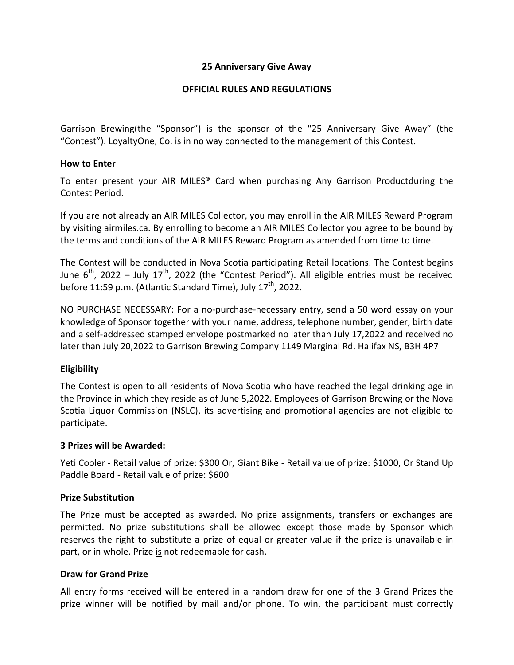### **25 Anniversary Give Away**

## **OFFICIAL RULES AND REGULATIONS**

Garrison Brewing(the "Sponsor") is the sponsor of the "25 Anniversary Give Away" (the "Contest"). LoyaltyOne, Co. is in no way connected to the management of this Contest.

## **How to Enter**

To enter present your AIR MILES® Card when purchasing Any Garrison Productduring the Contest Period.

If you are not already an AIR MILES Collector, you may enroll in the AIR MILES Reward Program by visiting airmiles.ca. By enrolling to become an AIR MILES Collector you agree to be bound by the terms and conditions of the AIR MILES Reward Program as amended from time to time.

The Contest will be conducted in Nova Scotia participating Retail locations. The Contest begins June  $6<sup>th</sup>$ , 2022 – July 17<sup>th</sup>, 2022 (the "Contest Period"). All eligible entries must be received before 11:59 p.m. (Atlantic Standard Time), July  $17<sup>th</sup>$ , 2022.

NO PURCHASE NECESSARY: For a no-purchase-necessary entry, send a 50 word essay on your knowledge of Sponsor together with your name, address, telephone number, gender, birth date and a self-addressed stamped envelope postmarked no later than July 17,2022 and received no later than July 20,2022 to Garrison Brewing Company 1149 Marginal Rd. Halifax NS, B3H 4P7

# **Eligibility**

The Contest is open to all residents of Nova Scotia who have reached the legal drinking age in the Province in which they reside as of June 5,2022. Employees of Garrison Brewing or the Nova Scotia Liquor Commission (NSLC), its advertising and promotional agencies are not eligible to participate.

### **3 Prizes will be Awarded:**

Yeti Cooler - Retail value of prize: \$300 Or, Giant Bike - Retail value of prize: \$1000, Or Stand Up Paddle Board - Retail value of prize: \$600

### **Prize Substitution**

The Prize must be accepted as awarded. No prize assignments, transfers or exchanges are permitted. No prize substitutions shall be allowed except those made by Sponsor which reserves the right to substitute a prize of equal or greater value if the prize is unavailable in part, or in whole. Prize is not redeemable for cash.

### **Draw for Grand Prize**

All entry forms received will be entered in a random draw for one of the 3 Grand Prizes the prize winner will be notified by mail and/or phone. To win, the participant must correctly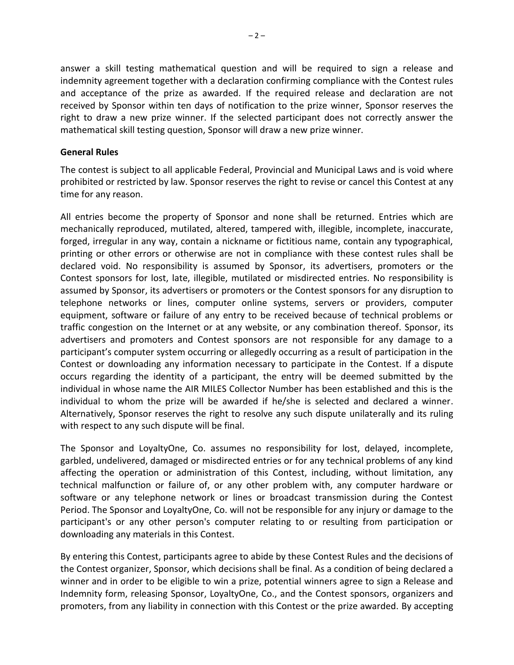answer a skill testing mathematical question and will be required to sign a release and indemnity agreement together with a declaration confirming compliance with the Contest rules and acceptance of the prize as awarded. If the required release and declaration are not received by Sponsor within ten days of notification to the prize winner, Sponsor reserves the right to draw a new prize winner. If the selected participant does not correctly answer the mathematical skill testing question, Sponsor will draw a new prize winner.

#### **General Rules**

The contest is subject to all applicable Federal, Provincial and Municipal Laws and is void where prohibited or restricted by law. Sponsor reserves the right to revise or cancel this Contest at any time for any reason.

All entries become the property of Sponsor and none shall be returned. Entries which are mechanically reproduced, mutilated, altered, tampered with, illegible, incomplete, inaccurate, forged, irregular in any way, contain a nickname or fictitious name, contain any typographical, printing or other errors or otherwise are not in compliance with these contest rules shall be declared void. No responsibility is assumed by Sponsor, its advertisers, promoters or the Contest sponsors for lost, late, illegible, mutilated or misdirected entries. No responsibility is assumed by Sponsor, its advertisers or promoters or the Contest sponsors for any disruption to telephone networks or lines, computer online systems, servers or providers, computer equipment, software or failure of any entry to be received because of technical problems or traffic congestion on the Internet or at any website, or any combination thereof. Sponsor, its advertisers and promoters and Contest sponsors are not responsible for any damage to a participant's computer system occurring or allegedly occurring as a result of participation in the Contest or downloading any information necessary to participate in the Contest. If a dispute occurs regarding the identity of a participant, the entry will be deemed submitted by the individual in whose name the AIR MILES Collector Number has been established and this is the individual to whom the prize will be awarded if he/she is selected and declared a winner. Alternatively, Sponsor reserves the right to resolve any such dispute unilaterally and its ruling with respect to any such dispute will be final.

The Sponsor and LoyaltyOne, Co. assumes no responsibility for lost, delayed, incomplete, garbled, undelivered, damaged or misdirected entries or for any technical problems of any kind affecting the operation or administration of this Contest, including, without limitation, any technical malfunction or failure of, or any other problem with, any computer hardware or software or any telephone network or lines or broadcast transmission during the Contest Period. The Sponsor and LoyaltyOne, Co. will not be responsible for any injury or damage to the participant's or any other person's computer relating to or resulting from participation or downloading any materials in this Contest.

By entering this Contest, participants agree to abide by these Contest Rules and the decisions of the Contest organizer, Sponsor, which decisions shall be final. As a condition of being declared a winner and in order to be eligible to win a prize, potential winners agree to sign a Release and Indemnity form, releasing Sponsor, LoyaltyOne, Co., and the Contest sponsors, organizers and promoters, from any liability in connection with this Contest or the prize awarded. By accepting